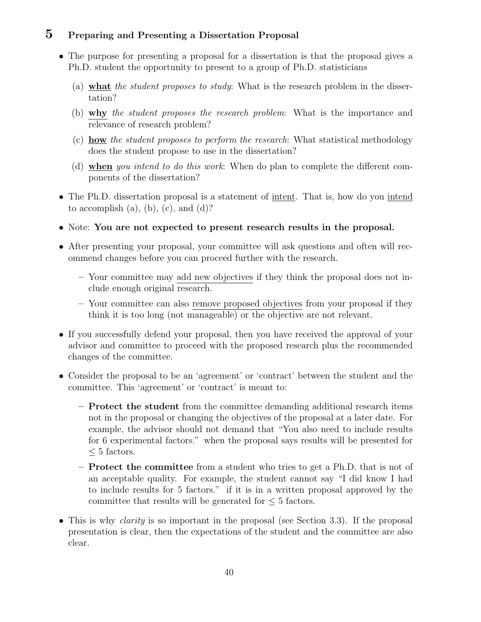# 5 Preparing and Presenting a Dissertation Proposal

- The purpose for presenting a proposal for a dissertation is that the proposal gives a Ph.D. student the opportunity to present to a group of Ph.D. statisticians
	- (a) what the student proposes to study: What is the research problem in the dissertation?
	- (b) why the student proposes the research problem: What is the importance and relevance of research problem?
	- (c) how the student proposes to perform the research: What statistical methodology does the student propose to use in the dissertation?
	- (d) when you intend to do this work: When do plan to complete the different components of the dissertation?
- The Ph.D. dissertation proposal is a statement of intent. That is, how do you intend to accomplish  $(a)$ ,  $(b)$ ,  $(c)$ , and  $(d)$ ?
- Note: You are not expected to present research results in the proposal.
- After presenting your proposal, your committee will ask questions and often will recommend changes before you can proceed further with the research.
	- Your committee may add new objectives if they think the proposal does not include enough original research.
	- Your committee can also remove proposed objectives from your proposal if they think it is too long (not manageable) or the objective are not relevant.
- If you successfully defend your proposal, then you have received the approval of your advisor and committee to proceed with the proposed research plus the recommended changes of the committee.
- Consider the proposal to be an 'agreement' or 'contract' between the student and the committee. This 'agreement' or 'contract' is meant to:
	- Protect the student from the committee demanding additional research items not in the proposal or changing the objectives of the proposal at a later date. For example, the advisor should not demand that "You also need to include results for 6 experimental factors." when the proposal says results will be presented for  $<$  5 factors.
	- Protect the committee from a student who tries to get a Ph.D. that is not of an acceptable quality. For example, the student cannot say "I did know I had to include results for 5 factors." if it is in a written proposal approved by the committee that results will be generated for  $\leq 5$  factors.
- This is why *clarity* is so important in the proposal (see Section 3.3). If the proposal presentation is clear, then the expectations of the student and the committee are also clear.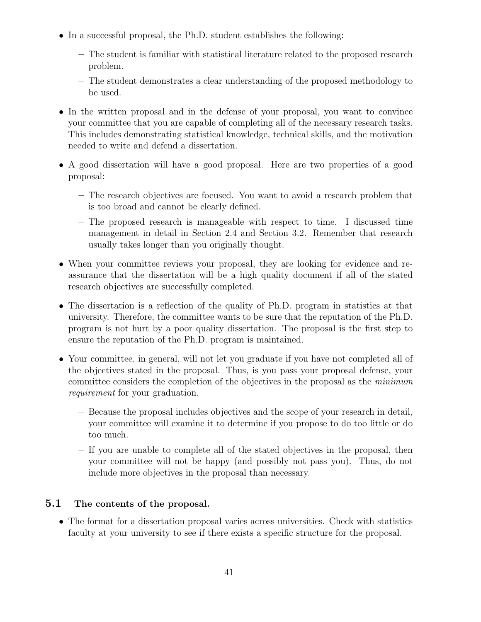- In a successful proposal, the Ph.D. student establishes the following:
	- The student is familiar with statistical literature related to the proposed research problem.
	- The student demonstrates a clear understanding of the proposed methodology to be used.
- In the written proposal and in the defense of your proposal, you want to convince your committee that you are capable of completing all of the necessary research tasks. This includes demonstrating statistical knowledge, technical skills, and the motivation needed to write and defend a dissertation.
- A good dissertation will have a good proposal. Here are two properties of a good proposal:
	- The research objectives are focused. You want to avoid a research problem that is too broad and cannot be clearly defined.
	- The proposed research is manageable with respect to time. I discussed time management in detail in Section 2.4 and Section 3.2. Remember that research usually takes longer than you originally thought.
- When your committee reviews your proposal, they are looking for evidence and reassurance that the dissertation will be a high quality document if all of the stated research objectives are successfully completed.
- The dissertation is a reflection of the quality of Ph.D. program in statistics at that university. Therefore, the committee wants to be sure that the reputation of the Ph.D. program is not hurt by a poor quality dissertation. The proposal is the first step to ensure the reputation of the Ph.D. program is maintained.
- Your committee, in general, will not let you graduate if you have not completed all of the objectives stated in the proposal. Thus, is you pass your proposal defense, your committee considers the completion of the objectives in the proposal as the minimum requirement for your graduation.
	- Because the proposal includes objectives and the scope of your research in detail, your committee will examine it to determine if you propose to do too little or do too much.
	- If you are unable to complete all of the stated objectives in the proposal, then your committee will not be happy (and possibly not pass you). Thus, do not include more objectives in the proposal than necessary.

### 5.1 The contents of the proposal.

• The format for a dissertation proposal varies across universities. Check with statistics faculty at your university to see if there exists a specific structure for the proposal.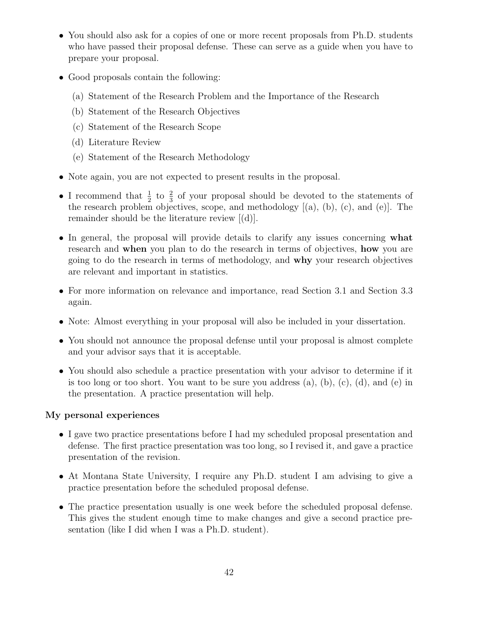- You should also ask for a copies of one or more recent proposals from Ph.D. students who have passed their proposal defense. These can serve as a guide when you have to prepare your proposal.
- Good proposals contain the following:
	- (a) Statement of the Research Problem and the Importance of the Research
	- (b) Statement of the Research Objectives
	- (c) Statement of the Research Scope
	- (d) Literature Review
	- (e) Statement of the Research Methodology
- Note again, you are not expected to present results in the proposal.
- I recommend that  $\frac{1}{2}$  to  $\frac{2}{3}$  of your proposal should be devoted to the statements of the research problem objectives, scope, and methodology [(a), (b), (c), and (e)]. The remainder should be the literature review [(d)].
- In general, the proposal will provide details to clarify any issues concerning what research and when you plan to do the research in terms of objectives, how you are going to do the research in terms of methodology, and why your research objectives are relevant and important in statistics.
- For more information on relevance and importance, read Section 3.1 and Section 3.3 again.
- Note: Almost everything in your proposal will also be included in your dissertation.
- You should not announce the proposal defense until your proposal is almost complete and your advisor says that it is acceptable.
- You should also schedule a practice presentation with your advisor to determine if it is too long or too short. You want to be sure you address  $(a)$ ,  $(b)$ ,  $(c)$ ,  $(d)$ , and  $(e)$  in the presentation. A practice presentation will help.

### My personal experiences

- I gave two practice presentations before I had my scheduled proposal presentation and defense. The first practice presentation was too long, so I revised it, and gave a practice presentation of the revision.
- At Montana State University, I require any Ph.D. student I am advising to give a practice presentation before the scheduled proposal defense.
- The practice presentation usually is one week before the scheduled proposal defense. This gives the student enough time to make changes and give a second practice presentation (like I did when I was a Ph.D. student).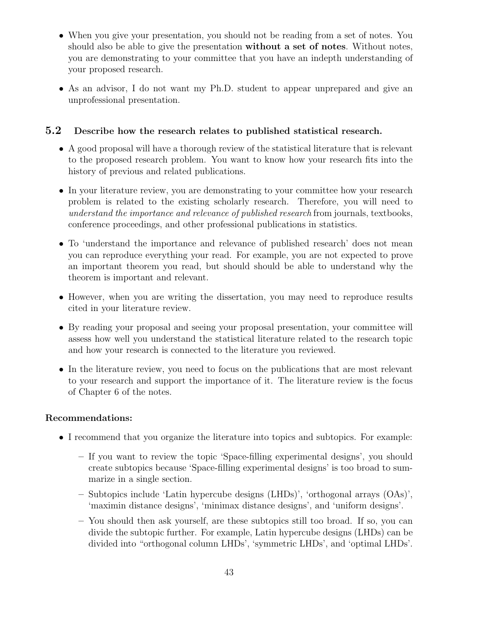- When you give your presentation, you should not be reading from a set of notes. You should also be able to give the presentation without a set of notes. Without notes, you are demonstrating to your committee that you have an indepth understanding of your proposed research.
- As an advisor, I do not want my Ph.D. student to appear unprepared and give an unprofessional presentation.

## 5.2 Describe how the research relates to published statistical research.

- A good proposal will have a thorough review of the statistical literature that is relevant to the proposed research problem. You want to know how your research fits into the history of previous and related publications.
- In your literature review, you are demonstrating to your committee how your research problem is related to the existing scholarly research. Therefore, you will need to understand the importance and relevance of published research from journals, textbooks, conference proceedings, and other professional publications in statistics.
- To 'understand the importance and relevance of published research' does not mean you can reproduce everything your read. For example, you are not expected to prove an important theorem you read, but should should be able to understand why the theorem is important and relevant.
- However, when you are writing the dissertation, you may need to reproduce results cited in your literature review.
- By reading your proposal and seeing your proposal presentation, your committee will assess how well you understand the statistical literature related to the research topic and how your research is connected to the literature you reviewed.
- In the literature review, you need to focus on the publications that are most relevant to your research and support the importance of it. The literature review is the focus of Chapter 6 of the notes.

### Recommendations:

- I recommend that you organize the literature into topics and subtopics. For example:
	- If you want to review the topic 'Space-filling experimental designs', you should create subtopics because 'Space-filling experimental designs' is too broad to summarize in a single section.
	- Subtopics include 'Latin hypercube designs (LHDs)', 'orthogonal arrays (OAs)', 'maximin distance designs', 'minimax distance designs', and 'uniform designs'.
	- You should then ask yourself, are these subtopics still too broad. If so, you can divide the subtopic further. For example, Latin hypercube designs (LHDs) can be divided into "orthogonal column LHDs', 'symmetric LHDs', and 'optimal LHDs'.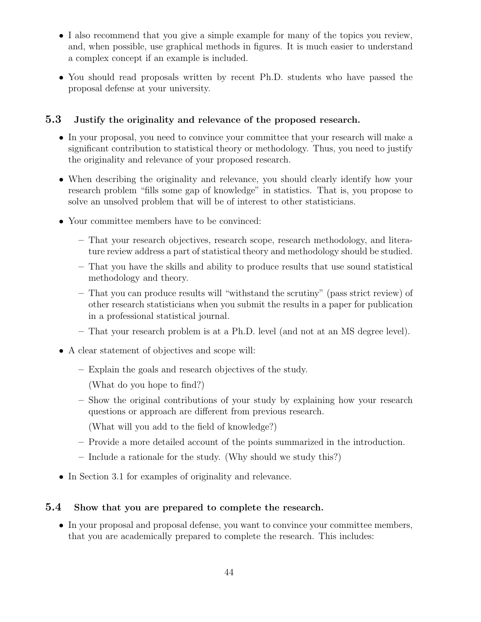- I also recommend that you give a simple example for many of the topics you review, and, when possible, use graphical methods in figures. It is much easier to understand a complex concept if an example is included.
- You should read proposals written by recent Ph.D. students who have passed the proposal defense at your university.

# 5.3 Justify the originality and relevance of the proposed research.

- In your proposal, you need to convince your committee that your research will make a significant contribution to statistical theory or methodology. Thus, you need to justify the originality and relevance of your proposed research.
- When describing the originality and relevance, you should clearly identify how your research problem "fills some gap of knowledge" in statistics. That is, you propose to solve an unsolved problem that will be of interest to other statisticians.
- Your committee members have to be convinced:
	- That your research objectives, research scope, research methodology, and literature review address a part of statistical theory and methodology should be studied.
	- That you have the skills and ability to produce results that use sound statistical methodology and theory.
	- That you can produce results will "withstand the scrutiny" (pass strict review) of other research statisticians when you submit the results in a paper for publication in a professional statistical journal.
	- That your research problem is at a Ph.D. level (and not at an MS degree level).
- A clear statement of objectives and scope will:
	- Explain the goals and research objectives of the study.
		- (What do you hope to find?)
	- Show the original contributions of your study by explaining how your research questions or approach are different from previous research.
		- (What will you add to the field of knowledge?)
	- Provide a more detailed account of the points summarized in the introduction.
	- Include a rationale for the study. (Why should we study this?)
- In Section 3.1 for examples of originality and relevance.

# 5.4 Show that you are prepared to complete the research.

• In your proposal and proposal defense, you want to convince your committee members, that you are academically prepared to complete the research. This includes: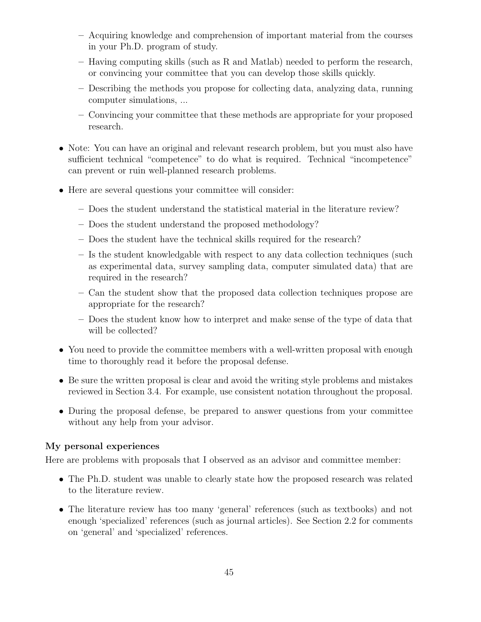- Acquiring knowledge and comprehension of important material from the courses in your Ph.D. program of study.
- Having computing skills (such as R and Matlab) needed to perform the research, or convincing your committee that you can develop those skills quickly.
- Describing the methods you propose for collecting data, analyzing data, running computer simulations, ...
- Convincing your committee that these methods are appropriate for your proposed research.
- Note: You can have an original and relevant research problem, but you must also have sufficient technical "competence" to do what is required. Technical "incompetence" can prevent or ruin well-planned research problems.
- Here are several questions your committee will consider:
	- Does the student understand the statistical material in the literature review?
	- Does the student understand the proposed methodology?
	- Does the student have the technical skills required for the research?
	- Is the student knowledgable with respect to any data collection techniques (such as experimental data, survey sampling data, computer simulated data) that are required in the research?
	- Can the student show that the proposed data collection techniques propose are appropriate for the research?
	- Does the student know how to interpret and make sense of the type of data that will be collected?
- You need to provide the committee members with a well-written proposal with enough time to thoroughly read it before the proposal defense.
- Be sure the written proposal is clear and avoid the writing style problems and mistakes reviewed in Section 3.4. For example, use consistent notation throughout the proposal.
- During the proposal defense, be prepared to answer questions from your committee without any help from your advisor.

# My personal experiences

Here are problems with proposals that I observed as an advisor and committee member:

- The Ph.D. student was unable to clearly state how the proposed research was related to the literature review.
- The literature review has too many 'general' references (such as textbooks) and not enough 'specialized' references (such as journal articles). See Section 2.2 for comments on 'general' and 'specialized' references.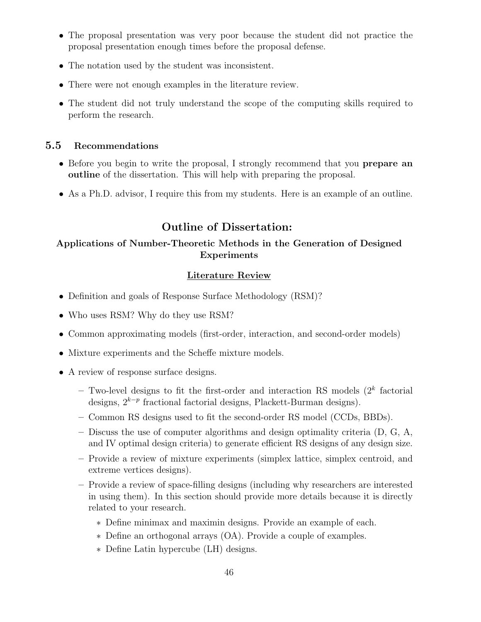- The proposal presentation was very poor because the student did not practice the proposal presentation enough times before the proposal defense.
- The notation used by the student was inconsistent.
- There were not enough examples in the literature review.
- The student did not truly understand the scope of the computing skills required to perform the research.

## 5.5 Recommendations

- Before you begin to write the proposal, I strongly recommend that you **prepare an** outline of the dissertation. This will help with preparing the proposal.
- As a Ph.D. advisor, I require this from my students. Here is an example of an outline.

# Outline of Dissertation:

## Applications of Number-Theoretic Methods in the Generation of Designed Experiments

### Literature Review

- Definition and goals of Response Surface Methodology (RSM)?
- Who uses RSM? Why do they use RSM?
- Common approximating models (first-order, interaction, and second-order models)
- Mixture experiments and the Scheffe mixture models.
- A review of response surface designs.
	- $-$  Two-level designs to fit the first-order and interaction RS models  $(2<sup>k</sup>$  factorial designs,  $2^{k-p}$  fractional factorial designs, Plackett-Burman designs).
	- Common RS designs used to fit the second-order RS model (CCDs, BBDs).
	- Discuss the use of computer algorithms and design optimality criteria (D, G, A, and IV optimal design criteria) to generate efficient RS designs of any design size.
	- Provide a review of mixture experiments (simplex lattice, simplex centroid, and extreme vertices designs).
	- Provide a review of space-filling designs (including why researchers are interested in using them). In this section should provide more details because it is directly related to your research.
		- ∗ Define minimax and maximin designs. Provide an example of each.
		- ∗ Define an orthogonal arrays (OA). Provide a couple of examples.
		- ∗ Define Latin hypercube (LH) designs.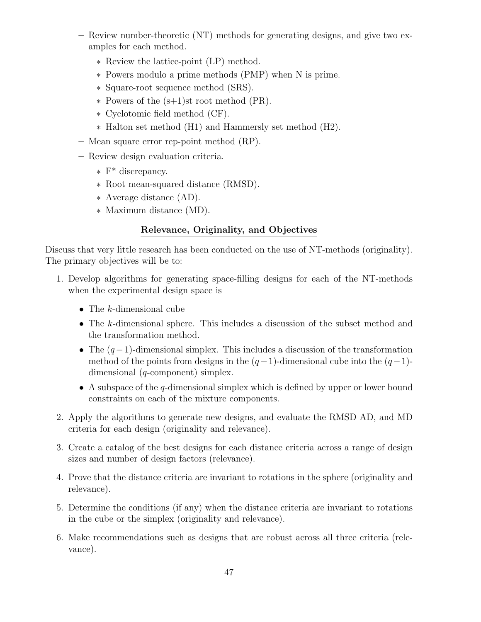- Review number-theoretic (NT) methods for generating designs, and give two examples for each method.
	- ∗ Review the lattice-point (LP) method.
	- ∗ Powers modulo a prime methods (PMP) when N is prime.
	- ∗ Square-root sequence method (SRS).
	- ∗ Powers of the (s+1)st root method (PR).
	- ∗ Cyclotomic field method (CF).
	- ∗ Halton set method (H1) and Hammersly set method (H2).
- Mean square error rep-point method (RP).
- Review design evaluation criteria.
	- ∗ F\* discrepancy.
	- ∗ Root mean-squared distance (RMSD).
	- ∗ Average distance (AD).
	- ∗ Maximum distance (MD).

## Relevance, Originality, and Objectives

Discuss that very little research has been conducted on the use of NT-methods (originality). The primary objectives will be to:

- 1. Develop algorithms for generating space-filling designs for each of the NT-methods when the experimental design space is
	- The  $k$ -dimensional cube
	- The k-dimensional sphere. This includes a discussion of the subset method and the transformation method.
	- The  $(q-1)$ -dimensional simplex. This includes a discussion of the transformation method of the points from designs in the  $(q-1)$ -dimensional cube into the  $(q-1)$ dimensional (q-component) simplex.
	- A subspace of the q-dimensional simplex which is defined by upper or lower bound constraints on each of the mixture components.
- 2. Apply the algorithms to generate new designs, and evaluate the RMSD AD, and MD criteria for each design (originality and relevance).
- 3. Create a catalog of the best designs for each distance criteria across a range of design sizes and number of design factors (relevance).
- 4. Prove that the distance criteria are invariant to rotations in the sphere (originality and relevance).
- 5. Determine the conditions (if any) when the distance criteria are invariant to rotations in the cube or the simplex (originality and relevance).
- 6. Make recommendations such as designs that are robust across all three criteria (relevance).